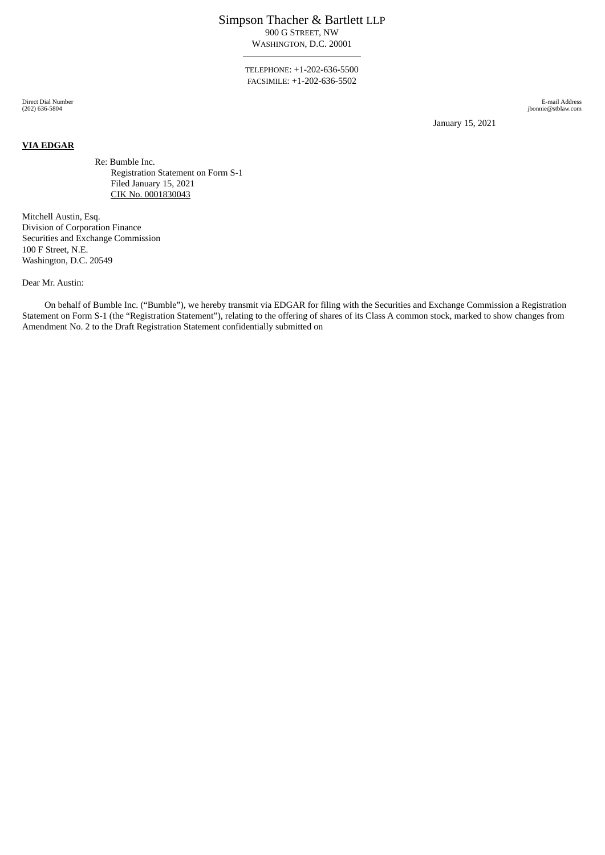## Simpson Thacher & Bartlett LLP 900 G STREET, NW

WASHINGTON, D.C. 20001

TELEPHONE: +1-202-636-5500 FACSIMILE: +1-202-636-5502

Direct Dial Number (202) 636-5804

**VIA EDGAR**

E-mail Address jbonnie@stblaw.com

January 15, 2021

Re: Bumble Inc. Registration Statement on Form S-1 Filed January 15, 2021 CIK No. 0001830043

Mitchell Austin, Esq. Division of Corporation Finance Securities and Exchange Commission 100 F Street, N.E. Washington, D.C. 20549

Dear Mr. Austin:

On behalf of Bumble Inc. ("Bumble"), we hereby transmit via EDGAR for filing with the Securities and Exchange Commission a Registration Statement on Form S-1 (the "Registration Statement"), relating to the offering of shares of its Class A common stock, marked to show changes from Amendment No. 2 to the Draft Registration Statement confidentially submitted on